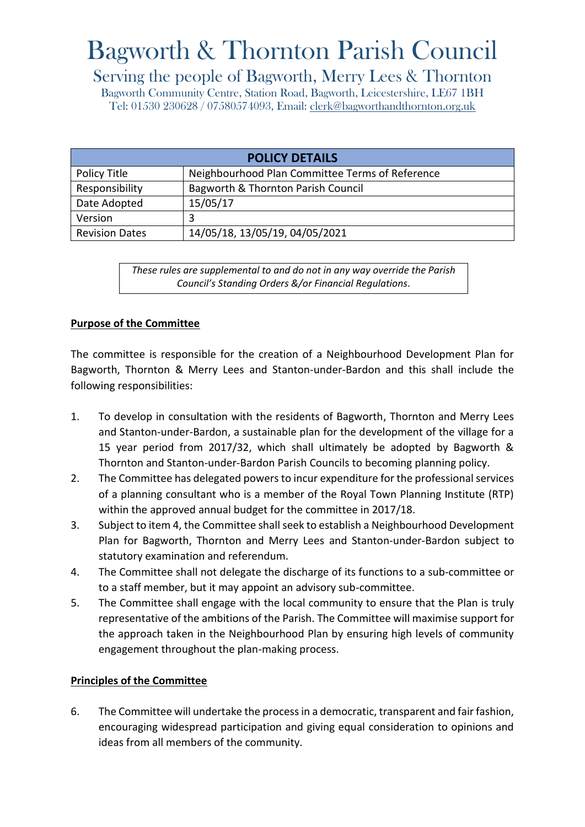# Bagworth & Thornton Parish Council

# Serving the people of Bagworth, Merry Lees & Thornton

Bagworth Community Centre, Station Road, Bagworth, Leicestershire, LE67 1BH Tel: 01530 230628 / 07580574093, Email: [clerk@bagworthandthornton.org.uk](mailto:clerk@bagworthandthornton.org.uk)

| <b>POLICY DETAILS</b> |                                                 |
|-----------------------|-------------------------------------------------|
| Policy Title          | Neighbourhood Plan Committee Terms of Reference |
| Responsibility        | Bagworth & Thornton Parish Council              |
| Date Adopted          | 15/05/17                                        |
| Version               | 3                                               |
| <b>Revision Dates</b> | 14/05/18, 13/05/19, 04/05/2021                  |

*These rules are supplemental to and do not in any way override the Parish Council's Standing Orders &/or Financial Regulations*.

## **Purpose of the Committee**

The committee is responsible for the creation of a Neighbourhood Development Plan for Bagworth, Thornton & Merry Lees and Stanton-under-Bardon and this shall include the following responsibilities:

- 1. To develop in consultation with the residents of Bagworth, Thornton and Merry Lees and Stanton-under-Bardon, a sustainable plan for the development of the village for a 15 year period from 2017/32, which shall ultimately be adopted by Bagworth & Thornton and Stanton-under-Bardon Parish Councils to becoming planning policy.
- 2. The Committee has delegated powers to incur expenditure for the professional services of a planning consultant who is a member of the Royal Town Planning Institute (RTP) within the approved annual budget for the committee in 2017/18.
- 3. Subject to item 4, the Committee shall seek to establish a Neighbourhood Development Plan for Bagworth, Thornton and Merry Lees and Stanton-under-Bardon subject to statutory examination and referendum.
- 4. The Committee shall not delegate the discharge of its functions to a sub-committee or to a staff member, but it may appoint an advisory sub-committee.
- 5. The Committee shall engage with the local community to ensure that the Plan is truly representative of the ambitions of the Parish. The Committee will maximise support for the approach taken in the Neighbourhood Plan by ensuring high levels of community engagement throughout the plan-making process.

#### **Principles of the Committee**

6. The Committee will undertake the process in a democratic, transparent and fair fashion, encouraging widespread participation and giving equal consideration to opinions and ideas from all members of the community.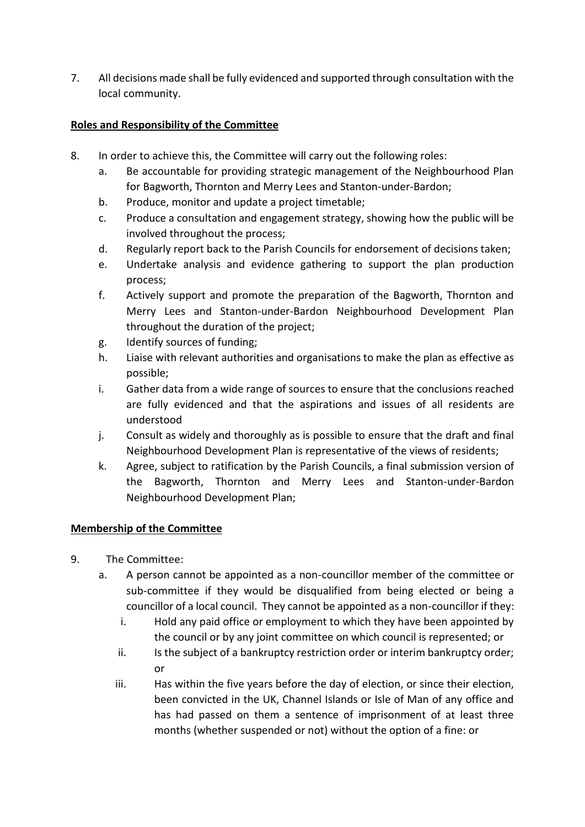7. All decisions made shall be fully evidenced and supported through consultation with the local community.

# **Roles and Responsibility of the Committee**

- 8. In order to achieve this, the Committee will carry out the following roles:
	- a. Be accountable for providing strategic management of the Neighbourhood Plan for Bagworth, Thornton and Merry Lees and Stanton-under-Bardon;
	- b. Produce, monitor and update a project timetable;
	- c. Produce a consultation and engagement strategy, showing how the public will be involved throughout the process;
	- d. Regularly report back to the Parish Councils for endorsement of decisions taken;
	- e. Undertake analysis and evidence gathering to support the plan production process;
	- f. Actively support and promote the preparation of the Bagworth, Thornton and Merry Lees and Stanton-under-Bardon Neighbourhood Development Plan throughout the duration of the project;
	- g. Identify sources of funding;
	- h. Liaise with relevant authorities and organisations to make the plan as effective as possible;
	- i. Gather data from a wide range of sources to ensure that the conclusions reached are fully evidenced and that the aspirations and issues of all residents are understood
	- j. Consult as widely and thoroughly as is possible to ensure that the draft and final Neighbourhood Development Plan is representative of the views of residents;
	- k. Agree, subject to ratification by the Parish Councils, a final submission version of the Bagworth, Thornton and Merry Lees and Stanton-under-Bardon Neighbourhood Development Plan;

#### **Membership of the Committee**

- 9. The Committee:
	- a. A person cannot be appointed as a non-councillor member of the committee or sub-committee if they would be disqualified from being elected or being a councillor of a local council. They cannot be appointed as a non-councillor if they:
		- i. Hold any paid office or employment to which they have been appointed by the council or by any joint committee on which council is represented; or
		- ii. Is the subject of a bankruptcy restriction order or interim bankruptcy order; or
		- iii. Has within the five years before the day of election, or since their election, been convicted in the UK, Channel Islands or Isle of Man of any office and has had passed on them a sentence of imprisonment of at least three months (whether suspended or not) without the option of a fine: or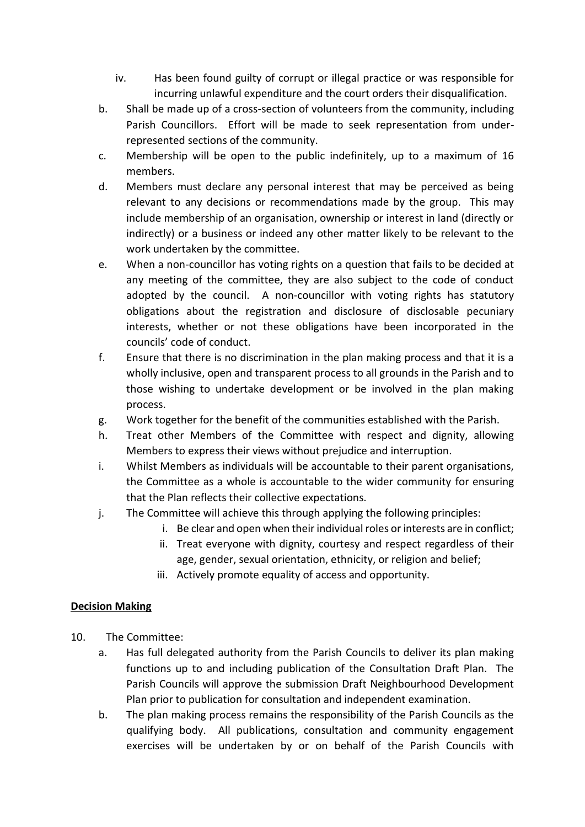- iv. Has been found guilty of corrupt or illegal practice or was responsible for incurring unlawful expenditure and the court orders their disqualification.
- b. Shall be made up of a cross-section of volunteers from the community, including Parish Councillors. Effort will be made to seek representation from underrepresented sections of the community.
- c. Membership will be open to the public indefinitely, up to a maximum of 16 members.
- d. Members must declare any personal interest that may be perceived as being relevant to any decisions or recommendations made by the group. This may include membership of an organisation, ownership or interest in land (directly or indirectly) or a business or indeed any other matter likely to be relevant to the work undertaken by the committee.
- e. When a non-councillor has voting rights on a question that fails to be decided at any meeting of the committee, they are also subject to the code of conduct adopted by the council. A non-councillor with voting rights has statutory obligations about the registration and disclosure of disclosable pecuniary interests, whether or not these obligations have been incorporated in the councils' code of conduct.
- f. Ensure that there is no discrimination in the plan making process and that it is a wholly inclusive, open and transparent process to all grounds in the Parish and to those wishing to undertake development or be involved in the plan making process.
- g. Work together for the benefit of the communities established with the Parish.
- h. Treat other Members of the Committee with respect and dignity, allowing Members to express their views without prejudice and interruption.
- i. Whilst Members as individuals will be accountable to their parent organisations, the Committee as a whole is accountable to the wider community for ensuring that the Plan reflects their collective expectations.
- j. The Committee will achieve this through applying the following principles:
	- i. Be clear and open when their individual roles or interests are in conflict;
	- ii. Treat everyone with dignity, courtesy and respect regardless of their age, gender, sexual orientation, ethnicity, or religion and belief;
	- iii. Actively promote equality of access and opportunity.

# **Decision Making**

- 10. The Committee:
	- a. Has full delegated authority from the Parish Councils to deliver its plan making functions up to and including publication of the Consultation Draft Plan. The Parish Councils will approve the submission Draft Neighbourhood Development Plan prior to publication for consultation and independent examination.
	- b. The plan making process remains the responsibility of the Parish Councils as the qualifying body. All publications, consultation and community engagement exercises will be undertaken by or on behalf of the Parish Councils with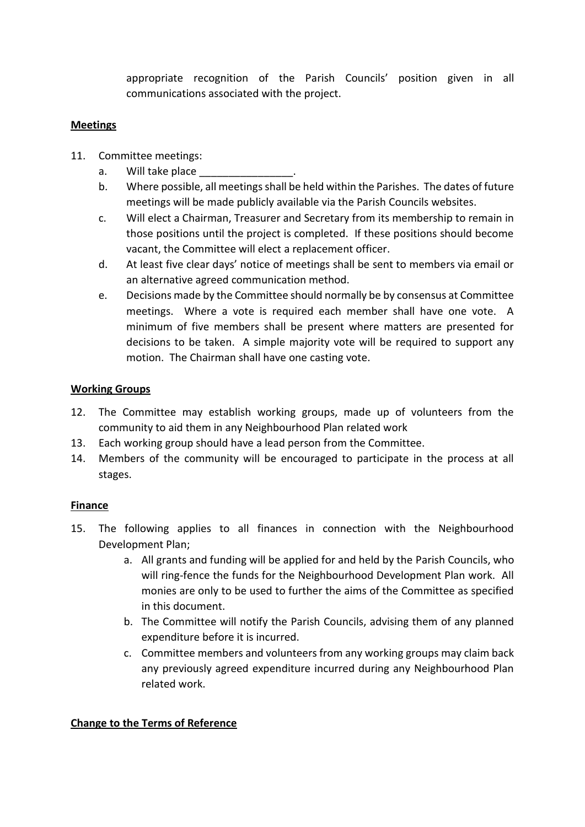appropriate recognition of the Parish Councils' position given in all communications associated with the project.

#### **Meetings**

- 11. Committee meetings:
	- a. Will take place
	- b. Where possible, all meetings shall be held within the Parishes. The dates of future meetings will be made publicly available via the Parish Councils websites.
	- c. Will elect a Chairman, Treasurer and Secretary from its membership to remain in those positions until the project is completed. If these positions should become vacant, the Committee will elect a replacement officer.
	- d. At least five clear days' notice of meetings shall be sent to members via email or an alternative agreed communication method.
	- e. Decisions made by the Committee should normally be by consensus at Committee meetings. Where a vote is required each member shall have one vote. A minimum of five members shall be present where matters are presented for decisions to be taken. A simple majority vote will be required to support any motion. The Chairman shall have one casting vote.

#### **Working Groups**

- 12. The Committee may establish working groups, made up of volunteers from the community to aid them in any Neighbourhood Plan related work
- 13. Each working group should have a lead person from the Committee.
- 14. Members of the community will be encouraged to participate in the process at all stages.

#### **Finance**

- 15. The following applies to all finances in connection with the Neighbourhood Development Plan;
	- a. All grants and funding will be applied for and held by the Parish Councils, who will ring-fence the funds for the Neighbourhood Development Plan work. All monies are only to be used to further the aims of the Committee as specified in this document.
	- b. The Committee will notify the Parish Councils, advising them of any planned expenditure before it is incurred.
	- c. Committee members and volunteers from any working groups may claim back any previously agreed expenditure incurred during any Neighbourhood Plan related work.

#### **Change to the Terms of Reference**